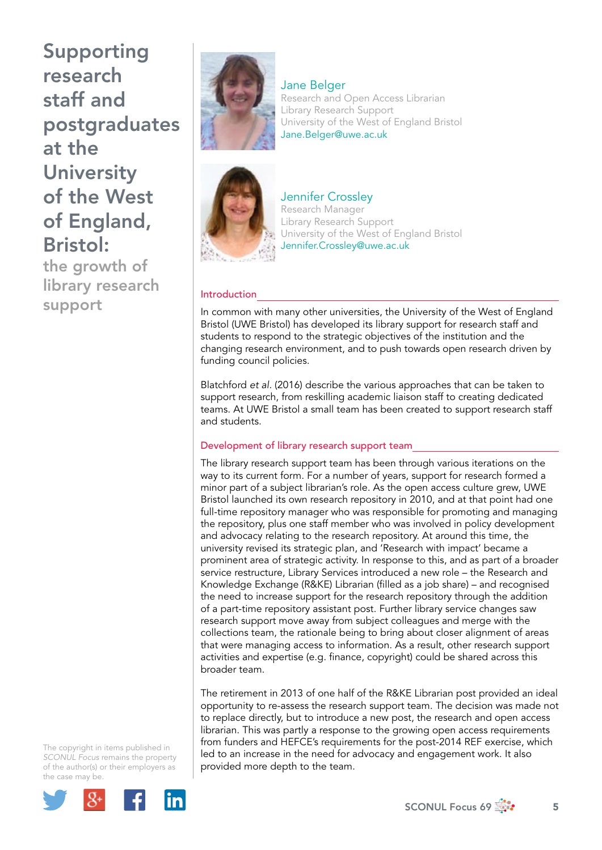Supporting research staff and postgraduates at the **University** of the West of England, Bristol:

the growth of library research support



Jane Belger Research and Open Access Librarian Library Research Support University of the West of England Bristol [Jane.Belger@uwe.ac.uk](mailto:Jane.Belger@uwe.ac.uk)



Jennifer Crossley Research Manager Library Research Support University of the West of England Bristol [Jennifer.Crossley@uwe.ac.uk](mailto:Jennifer.Crossley@uwe.ac.uk)

# Introduction

In common with many other universities, the University of the West of England Bristol (UWE Bristol) has developed its library support for research staff and students to respond to the strategic objectives of the institution and the changing research environment, and to push towards open research driven by funding council policies.

Blatchford *et al.* (2016) describe the various approaches that can be taken to support research, from reskilling academic liaison staff to creating dedicated teams. At UWE Bristol a small team has been created to support research staff and students.

# Development of library research support team

The library research support team has been through various iterations on the way to its current form. For a number of years, support for research formed a minor part of a subject librarian's role. As the open access culture grew, UWE Bristol launched its own research repository in 2010, and at that point had one full-time repository manager who was responsible for promoting and managing the repository, plus one staff member who was involved in policy development and advocacy relating to the research repository. At around this time, the university revised its strategic plan, and 'Research with impact' became a prominent area of strategic activity. In response to this, and as part of a broader service restructure, Library Services introduced a new role – the Research and Knowledge Exchange (R&KE) Librarian (filled as a job share) – and recognised the need to increase support for the research repository through the addition of a part-time repository assistant post. Further library service changes saw research support move away from subject colleagues and merge with the collections team, the rationale being to bring about closer alignment of areas that were managing access to information. As a result, other research support activities and expertise (e.g. finance, copyright) could be shared across this broader team.

The retirement in 2013 of one half of the R&KE Librarian post provided an ideal opportunity to re-assess the research support team. The decision was made not to replace directly, but to introduce a new post, the research and open access librarian. This was partly a response to the growing open access requirements from funders and HEFCE's requirements for the post-2014 REF exercise, which led to an increase in the need for advocacy and engagement work. It also provided more depth to the team.

The copyright in items published in *SCONUL Focus* remains the property of the author(s) or their employers as the case may be.



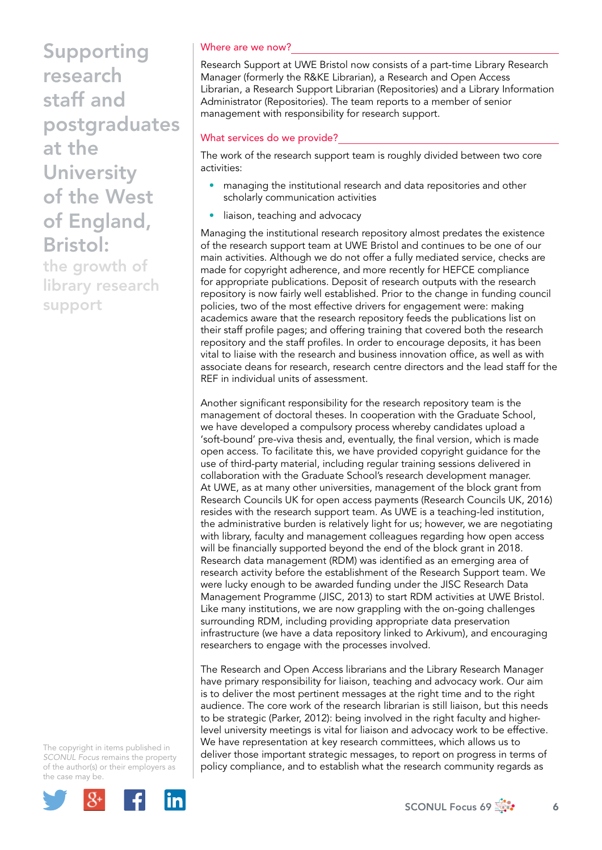Supporting research staff and postgraduates at the **University** of the West of England, Bristol:

the growth of library research support

The copyright in items published in *SCONUL Focus* remains the property of the author(s) or their employers as the case may be.



#### Where are we now?

Research Support at UWE Bristol now consists of a part-time Library Research Manager (formerly the R&KE Librarian), a Research and Open Access Librarian, a Research Support Librarian (Repositories) and a Library Information Administrator (Repositories). The team reports to a member of senior management with responsibility for research support.

# What services do we provide?

The work of the research support team is roughly divided between two core activities:

- managing the institutional research and data repositories and other scholarly communication activities
- liaison, teaching and advocacy

Managing the institutional research repository almost predates the existence of the research support team at UWE Bristol and continues to be one of our main activities. Although we do not offer a fully mediated service, checks are made for copyright adherence, and more recently for HEFCE compliance for appropriate publications. Deposit of research outputs with the research repository is now fairly well established. Prior to the change in funding council policies, two of the most effective drivers for engagement were: making academics aware that the research repository feeds the publications list on their staff profile pages; and offering training that covered both the research repository and the staff profiles. In order to encourage deposits, it has been vital to liaise with the research and business innovation office, as well as with associate deans for research, research centre directors and the lead staff for the REF in individual units of assessment.

Another significant responsibility for the research repository team is the management of doctoral theses. In cooperation with the Graduate School, we have developed a compulsory process whereby candidates upload a 'soft-bound' pre-viva thesis and, eventually, the final version, which is made open access. To facilitate this, we have provided copyright guidance for the use of third-party material, including regular training sessions delivered in collaboration with the Graduate School's research development manager. At UWE, as at many other universities, management of the block grant from Research Councils UK for open access payments (Research Councils UK, 2016) resides with the research support team. As UWE is a teaching-led institution, the administrative burden is relatively light for us; however, we are negotiating with library, faculty and management colleagues regarding how open access will be financially supported beyond the end of the block grant in 2018. Research data management (RDM) was identified as an emerging area of research activity before the establishment of the Research Support team. We were lucky enough to be awarded funding under the JISC Research Data Management Programme (JISC, 2013) to start RDM activities at UWE Bristol. Like many institutions, we are now grappling with the on-going challenges surrounding RDM, including providing appropriate data preservation infrastructure (we have a data repository linked to Arkivum), and encouraging researchers to engage with the processes involved.

The Research and Open Access librarians and the Library Research Manager have primary responsibility for liaison, teaching and advocacy work. Our aim is to deliver the most pertinent messages at the right time and to the right audience. The core work of the research librarian is still liaison, but this needs to be strategic (Parker, 2012): being involved in the right faculty and higherlevel university meetings is vital for liaison and advocacy work to be effective. We have representation at key research committees, which allows us to deliver those important strategic messages, to report on progress in terms of policy compliance, and to establish what the research community regards as